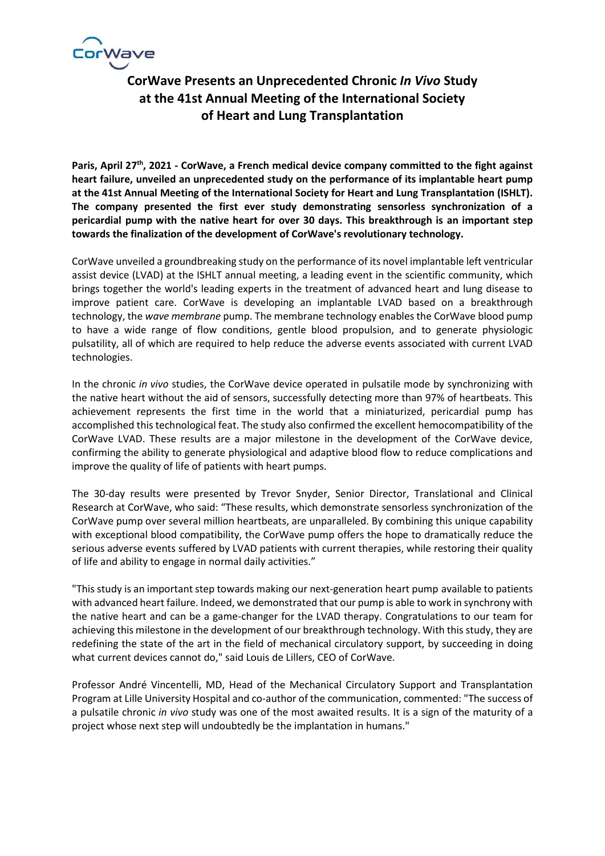

# **CorWave Presents an Unprecedented Chronic** *In Vivo* **Study at the 41st Annual Meeting of the International Society of Heart and Lung Transplantation**

Paris, April 27<sup>th</sup>, 2021 - CorWave, a French medical device company committed to the fight against **heart failure, unveiled an unprecedented study on the performance of its implantable heart pump at the 41st Annual Meeting of the International Society for Heart and Lung Transplantation (ISHLT). The company presented the first ever study demonstrating sensorless synchronization of a pericardial pump with the native heart for over 30 days. This breakthrough is an important step towards the finalization of the development of CorWave's revolutionary technology.** 

CorWave unveiled a groundbreaking study on the performance of its novel implantable left ventricular assist device (LVAD) at the ISHLT annual meeting, a leading event in the scientific community, which brings together the world's leading experts in the treatment of advanced heart and lung disease to improve patient care. CorWave is developing an implantable LVAD based on a breakthrough technology, the *wave membrane* pump. The membrane technology enables the CorWave blood pump to have a wide range of flow conditions, gentle blood propulsion, and to generate physiologic pulsatility, all of which are required to help reduce the adverse events associated with current LVAD technologies.

In the chronic *in vivo* studies, the CorWave device operated in pulsatile mode by synchronizing with the native heart without the aid of sensors, successfully detecting more than 97% of heartbeats. This achievement represents the first time in the world that a miniaturized, pericardial pump has accomplished this technological feat. The study also confirmed the excellent hemocompatibility of the CorWave LVAD. These results are a major milestone in the development of the CorWave device, confirming the ability to generate physiological and adaptive blood flow to reduce complications and improve the quality of life of patients with heart pumps.

The 30-day results were presented by Trevor Snyder, Senior Director, Translational and Clinical Research at CorWave, who said: "These results, which demonstrate sensorless synchronization of the CorWave pump over several million heartbeats, are unparalleled. By combining this unique capability with exceptional blood compatibility, the CorWave pump offers the hope to dramatically reduce the serious adverse events suffered by LVAD patients with current therapies, while restoring their quality of life and ability to engage in normal daily activities."

"This study is an important step towards making our next-generation heart pump available to patients with advanced heart failure. Indeed, we demonstrated that our pump is able to work in synchrony with the native heart and can be a game-changer for the LVAD therapy. Congratulations to our team for achieving this milestone in the development of our breakthrough technology. With this study, they are redefining the state of the art in the field of mechanical circulatory support, by succeeding in doing what current devices cannot do," said Louis de Lillers, CEO of CorWave.

Professor André Vincentelli, MD, Head of the Mechanical Circulatory Support and Transplantation Program at Lille University Hospital and co-author of the communication, commented: "The success of a pulsatile chronic *in vivo* study was one of the most awaited results. It is a sign of the maturity of a project whose next step will undoubtedly be the implantation in humans."